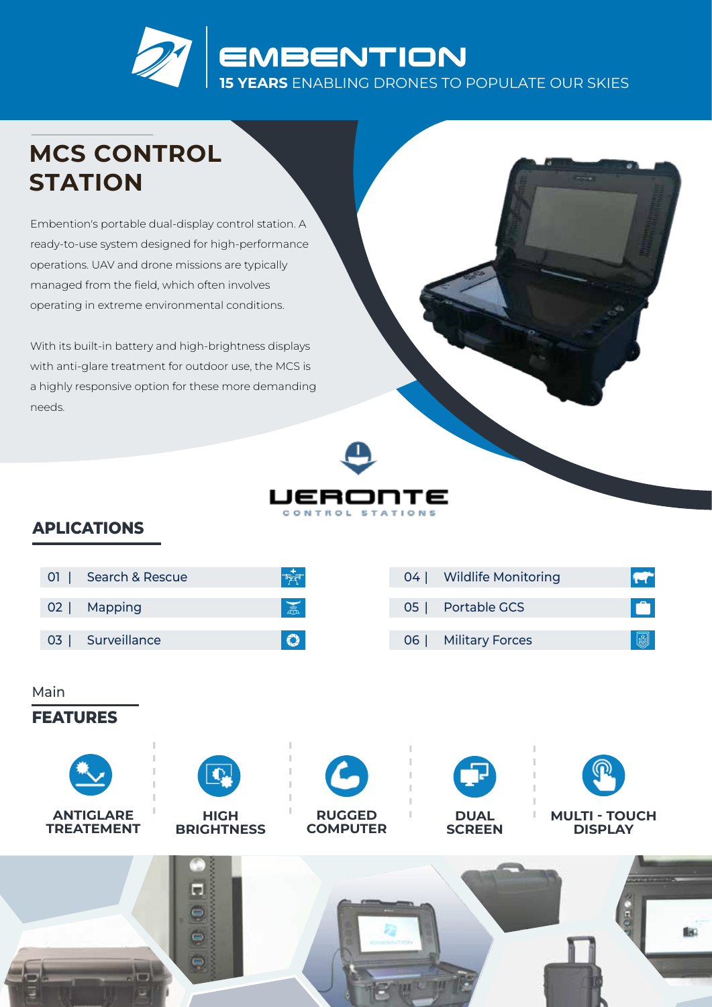

## **MCS CONTROL STATION**

Embention's portable dual-display control station. A ready-to-use system designed for high-performance operations. UAV and drone missions are typically managed from the field, which often involves operating in extreme environmental conditions.

With its built-in battery and high-brightness displays with anti-glare treatment for outdoor use, the MCS is a highly responsive option for these more demanding needs.



## APLICATIONS

| Search & Rescue<br>01                                            |                                  | $\frac{1}{\sqrt{2}}$                               | 04 | <b>Wildlife Monitoring</b>   |                                        | <b>FT</b> |  |
|------------------------------------------------------------------|----------------------------------|----------------------------------------------------|----|------------------------------|----------------------------------------|-----------|--|
| Mapping<br>02                                                    |                                  | $\frac{1}{\sqrt{2}}$                               | 05 | Portable GCS                 |                                        | O         |  |
| Surveillance<br>03                                               |                                  | $\mathbf{Q}$                                       | 06 | <b>Military Forces</b>       |                                        | <b>I</b>  |  |
| Main<br><b>FEATURES</b><br><b>ANTIGLARE</b><br><b>TREATEMENT</b> | <b>HIGH</b><br><b>BRIGHTNESS</b> | $\overline{G}$<br><b>RUGGED</b><br><b>COMPUTER</b> |    | <b>DUAL</b><br><b>SCREEN</b> | <b>MULTI - TOUCH</b><br><b>DISPLAY</b> |           |  |
| <b>Alle</b>                                                      | ۱ψ<br>e<br>ę                     |                                                    |    |                              |                                        | <u>le</u> |  |